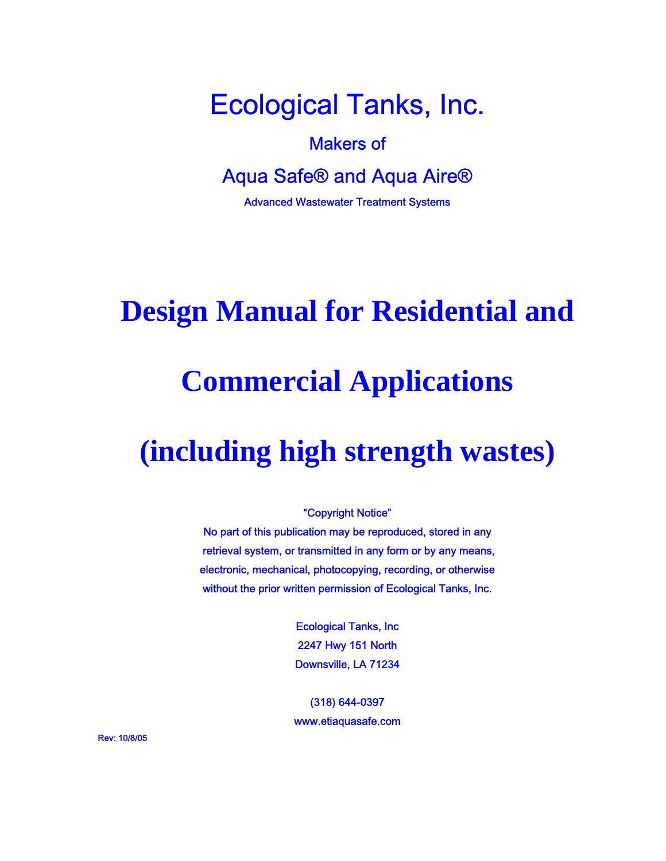Ecological Tanks, Inc.

## Makers of

Aqua Safe® and Aqua Aire®

Advanced Wastewater Treatment Systems

# **Design Manual for Residential and**

# **Commercial Applications**

# **(including high strength wastes)**

#### "Copyright Notice"

No part of this publication may be reproduced, stored in any retrieval system, or transmitted in any form or by any means, electronic, mechanical, photocopying, recording, or otherwise without the prior written permission of Ecological Tanks, Inc.

> Ecological Tanks, Inc 2247 Hwy 151 North Downsville, LA 71234

(318) 644-0397 www.etiaquasafe.com

Rev: 10/8/05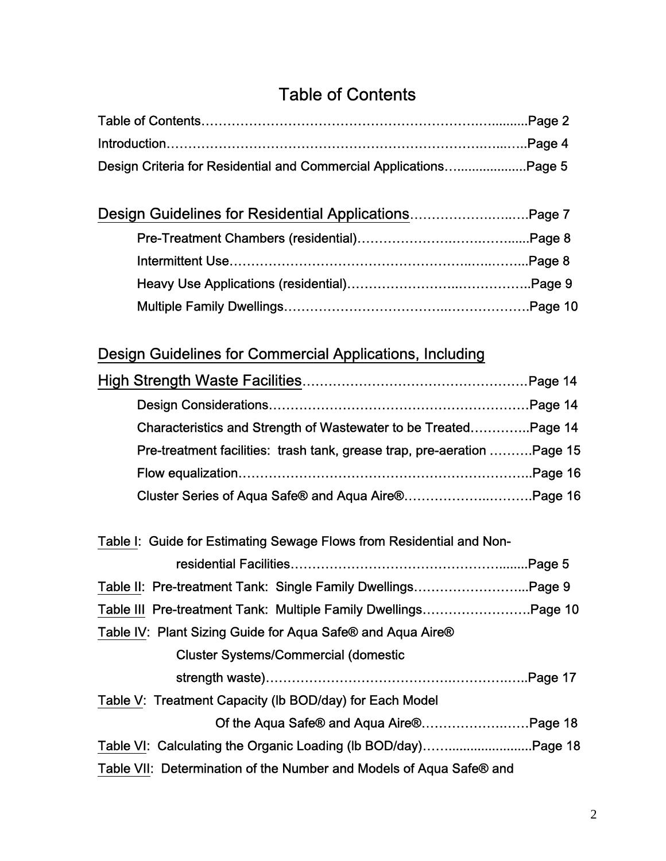## Table of Contents

| Design Criteria for Residential and Commercial ApplicationsPage 5 |  |
|-------------------------------------------------------------------|--|

| Design Guidelines for Residential ApplicationsPage 7 |  |
|------------------------------------------------------|--|
|                                                      |  |
|                                                      |  |
|                                                      |  |
|                                                      |  |

## Design Guidelines for Commercial Applications, Including

| Characteristics and Strength of Wastewater to be TreatedPage 14         |  |
|-------------------------------------------------------------------------|--|
| Pre-treatment facilities: trash tank, grease trap, pre-aeration Page 15 |  |
|                                                                         |  |
| Cluster Series of Aqua Safe® and Aqua Aire®Page 16                      |  |
|                                                                         |  |
| Table I: Guide for Estimating Sewage Flows from Residential and Non-    |  |

| Table II: Pre-treatment Tank: Single Family DwellingsPage 9         |  |
|---------------------------------------------------------------------|--|
| Table III Pre-treatment Tank: Multiple Family DwellingsPage 10      |  |
| Table IV: Plant Sizing Guide for Aqua Safe® and Aqua Aire®          |  |
| <b>Cluster Systems/Commercial (domestic</b>                         |  |
|                                                                     |  |
| Table V: Treatment Capacity (Ib BOD/day) for Each Model             |  |
| Of the Aqua Safe® and Aqua Aire®Page 18                             |  |
|                                                                     |  |
| Table VII: Determination of the Number and Models of Aqua Safe® and |  |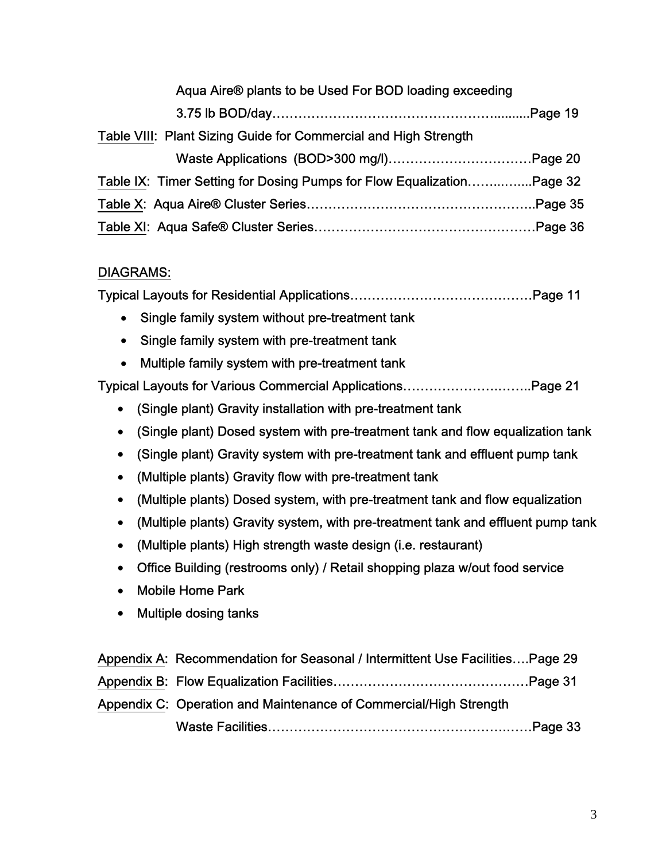| Aqua Aire® plants to be Used For BOD loading exceeding                |  |
|-----------------------------------------------------------------------|--|
|                                                                       |  |
| Table VIII: Plant Sizing Guide for Commercial and High Strength       |  |
|                                                                       |  |
| Table IX: Timer Setting for Dosing Pumps for Flow EqualizationPage 32 |  |
|                                                                       |  |
|                                                                       |  |

### DIAGRAMS:

Typical Layouts for Residential Applications……………………………………Page 11

- Single family system without pre-treatment tank
- Single family system with pre-treatment tank
- Multiple family system with pre-treatment tank

Typical Layouts for Various Commercial Applications………………….……..Page 21

- (Single plant) Gravity installation with pre-treatment tank
- (Single plant) Dosed system with pre-treatment tank and flow equalization tank
- (Single plant) Gravity system with pre-treatment tank and effluent pump tank
- (Multiple plants) Gravity flow with pre-treatment tank
- (Multiple plants) Dosed system, with pre-treatment tank and flow equalization
- (Multiple plants) Gravity system, with pre-treatment tank and effluent pump tank
- (Multiple plants) High strength waste design (i.e. restaurant)
- Office Building (restrooms only) / Retail shopping plaza w/out food service
- Mobile Home Park
- Multiple dosing tanks

| Appendix A: Recommendation for Seasonal / Intermittent Use FacilitiesPage 29 |
|------------------------------------------------------------------------------|
|                                                                              |
| Appendix C: Operation and Maintenance of Commercial/High Strength            |
|                                                                              |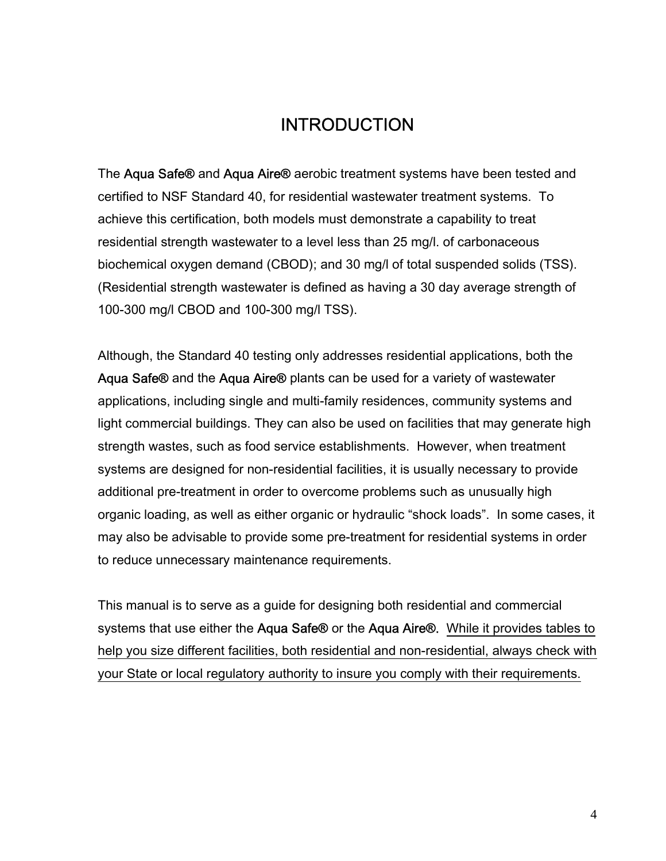### **INTRODUCTION**

The Aqua Safe® and Aqua Aire® aerobic treatment systems have been tested and certified to NSF Standard 40, for residential wastewater treatment systems. To achieve this certification, both models must demonstrate a capability to treat residential strength wastewater to a level less than 25 mg/l. of carbonaceous biochemical oxygen demand (CBOD); and 30 mg/l of total suspended solids (TSS). (Residential strength wastewater is defined as having a 30 day average strength of 100-300 mg/l CBOD and 100-300 mg/l TSS).

Although, the Standard 40 testing only addresses residential applications, both the Aqua Safe® and the Aqua Aire® plants can be used for a variety of wastewater applications, including single and multi-family residences, community systems and light commercial buildings. They can also be used on facilities that may generate high strength wastes, such as food service establishments. However, when treatment systems are designed for non-residential facilities, it is usually necessary to provide additional pre-treatment in order to overcome problems such as unusually high organic loading, as well as either organic or hydraulic "shock loads". In some cases, it may also be advisable to provide some pre-treatment for residential systems in order to reduce unnecessary maintenance requirements.

This manual is to serve as a guide for designing both residential and commercial systems that use either the Aqua Safe® or the Aqua Aire®. While it provides tables to help you size different facilities, both residential and non-residential, always check with your State or local regulatory authority to insure you comply with their requirements.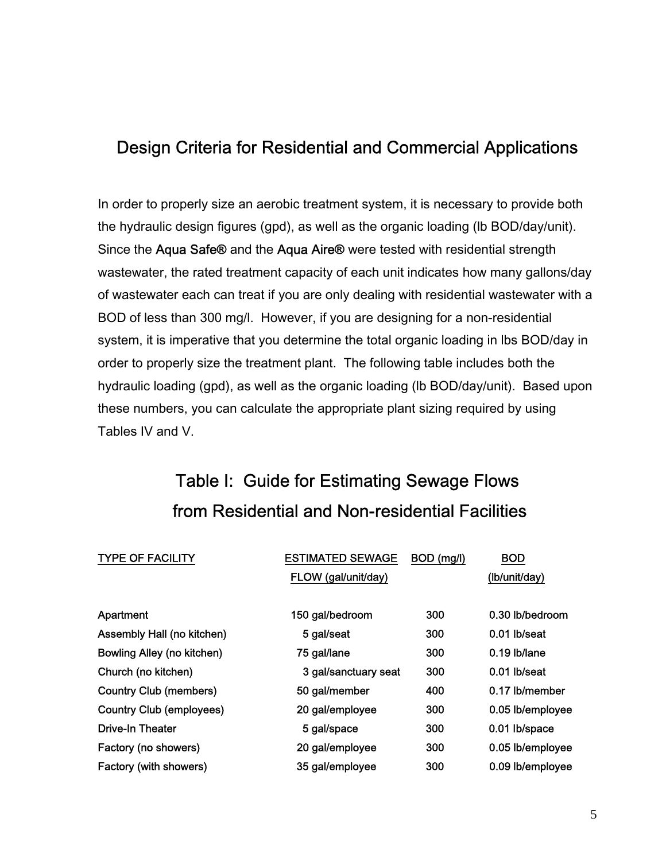### Design Criteria for Residential and Commercial Applications

In order to properly size an aerobic treatment system, it is necessary to provide both the hydraulic design figures (gpd), as well as the organic loading (lb BOD/day/unit). Since the Aqua Safe® and the Aqua Aire® were tested with residential strength wastewater, the rated treatment capacity of each unit indicates how many gallons/day of wastewater each can treat if you are only dealing with residential wastewater with a BOD of less than 300 mg/l. However, if you are designing for a non-residential system, it is imperative that you determine the total organic loading in lbs BOD/day in order to properly size the treatment plant. The following table includes both the hydraulic loading (gpd), as well as the organic loading (lb BOD/day/unit). Based upon these numbers, you can calculate the appropriate plant sizing required by using Tables IV and V.

## Table I: Guide for Estimating Sewage Flows from Residential and Non-residential Facilities

| <b>TYPE OF FACILITY</b>           | <b>ESTIMATED SEWAGE</b> | BOD (mg/l) | <b>BOD</b>       |
|-----------------------------------|-------------------------|------------|------------------|
|                                   | FLOW (gal/unit/day)     |            | (Ib/unit/day)    |
|                                   |                         |            |                  |
| Apartment                         | 150 gal/bedroom         | 300        | 0.30 lb/bedroom  |
| Assembly Hall (no kitchen)        | 5 gal/seat              | 300        | 0.01 lb/seat     |
| <b>Bowling Alley (no kitchen)</b> | 75 gal/lane             | 300        | $0.19$ lb/lane   |
| Church (no kitchen)               | 3 gal/sanctuary seat    | 300        | 0.01 lb/seat     |
| <b>Country Club (members)</b>     | 50 gal/member           | 400        | 0.17 lb/member   |
| <b>Country Club (employees)</b>   | 20 gal/employee         | 300        | 0.05 lb/employee |
| <b>Drive-In Theater</b>           | 5 gal/space             | 300        | 0.01 lb/space    |
| Factory (no showers)              | 20 gal/employee         | 300        | 0.05 lb/employee |
| Factory (with showers)            | 35 gal/employee         | 300        | 0.09 lb/employee |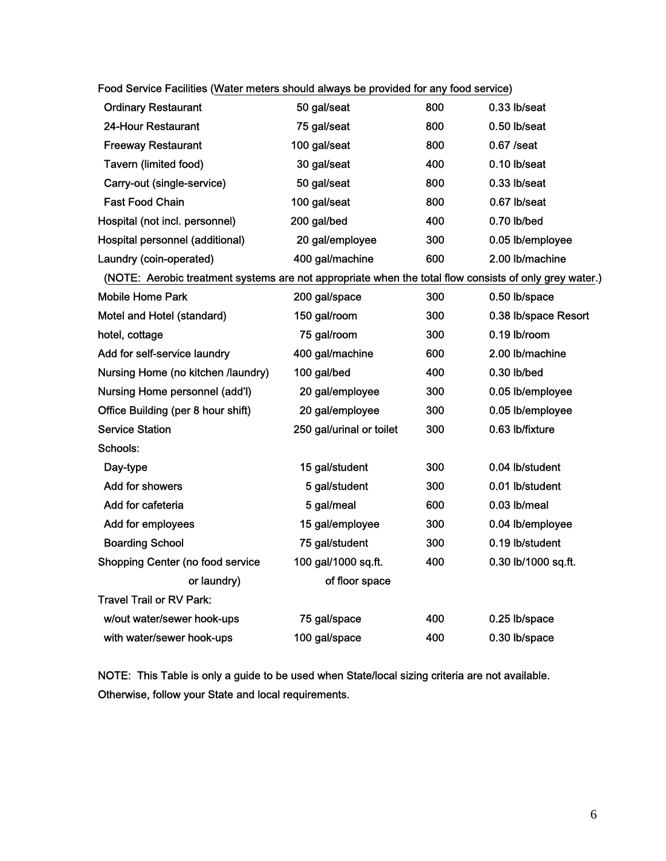| $\overline{1}$ 000 OCIVIC Lagillics (VValch Tilclers should always be provided for any lood service)   |                          |     |                      |
|--------------------------------------------------------------------------------------------------------|--------------------------|-----|----------------------|
| <b>Ordinary Restaurant</b>                                                                             | 50 gal/seat              | 800 | 0.33 lb/seat         |
| 24-Hour Restaurant                                                                                     | 75 gal/seat              | 800 | 0.50 lb/seat         |
| <b>Freeway Restaurant</b>                                                                              | 100 gal/seat             | 800 | $0.67$ /seat         |
| Tavern (limited food)                                                                                  | 30 gal/seat              | 400 | 0.10 lb/seat         |
| Carry-out (single-service)                                                                             | 50 gal/seat              | 800 | 0.33 lb/seat         |
| <b>Fast Food Chain</b>                                                                                 | 100 gal/seat             | 800 | 0.67 lb/seat         |
| Hospital (not incl. personnel)                                                                         | 200 gal/bed              | 400 | 0.70 lb/bed          |
| Hospital personnel (additional)                                                                        | 20 gal/employee          | 300 | 0.05 lb/employee     |
| Laundry (coin-operated)                                                                                | 400 gal/machine          | 600 | 2.00 lb/machine      |
| (NOTE: Aerobic treatment systems are not appropriate when the total flow consists of only grey water.) |                          |     |                      |
| <b>Mobile Home Park</b>                                                                                | 200 gal/space            | 300 | 0.50 lb/space        |
| Motel and Hotel (standard)                                                                             | 150 gal/room             | 300 | 0.38 lb/space Resort |
| hotel, cottage                                                                                         | 75 gal/room              | 300 | 0.19 lb/room         |
| Add for self-service laundry                                                                           | 400 gal/machine          | 600 | 2.00 lb/machine      |
| Nursing Home (no kitchen /laundry)                                                                     | 100 gal/bed              | 400 | 0.30 lb/bed          |
| Nursing Home personnel (add'l)                                                                         | 20 gal/employee          | 300 | 0.05 lb/employee     |
| Office Building (per 8 hour shift)                                                                     | 20 gal/employee          | 300 | 0.05 lb/employee     |
| <b>Service Station</b>                                                                                 | 250 gal/urinal or toilet | 300 | 0.63 lb/fixture      |
| Schools:                                                                                               |                          |     |                      |
| Day-type                                                                                               | 15 gal/student           | 300 | 0.04 lb/student      |
| Add for showers                                                                                        | 5 gal/student            | 300 | 0.01 lb/student      |
| Add for cafeteria                                                                                      | 5 gal/meal               | 600 | 0.03 lb/meal         |
| Add for employees                                                                                      | 15 gal/employee          | 300 | 0.04 lb/employee     |
| <b>Boarding School</b>                                                                                 | 75 gal/student           | 300 | 0.19 lb/student      |
| Shopping Center (no food service                                                                       | 100 gal/1000 sq.ft.      | 400 | 0.30 lb/1000 sq.ft.  |
| or laundry)                                                                                            | of floor space           |     |                      |
| <b>Travel Trail or RV Park:</b>                                                                        |                          |     |                      |
| w/out water/sewer hook-ups                                                                             | 75 gal/space             | 400 | 0.25 lb/space        |
| with water/sewer hook-ups                                                                              | 100 gal/space            | 400 | 0.30 lb/space        |

Food Service Facilities (Water meters should always be provided for any food service)

NOTE: This Table is only a guide to be used when State/local sizing criteria are not available. Otherwise, follow your State and local requirements.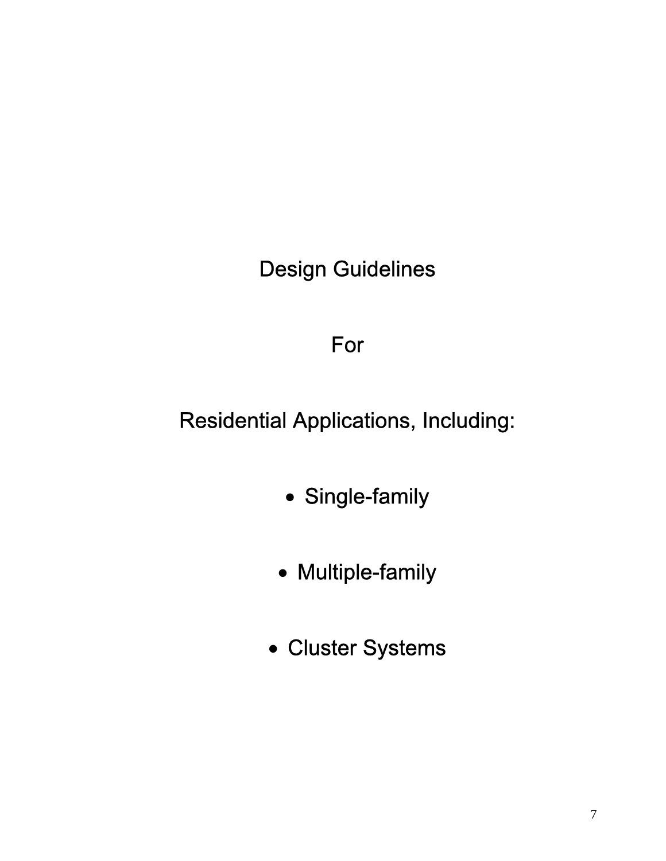Design Guidelines

## For

## Residential Applications, Including:

- Single-family
- Multiple-family
- Cluster Systems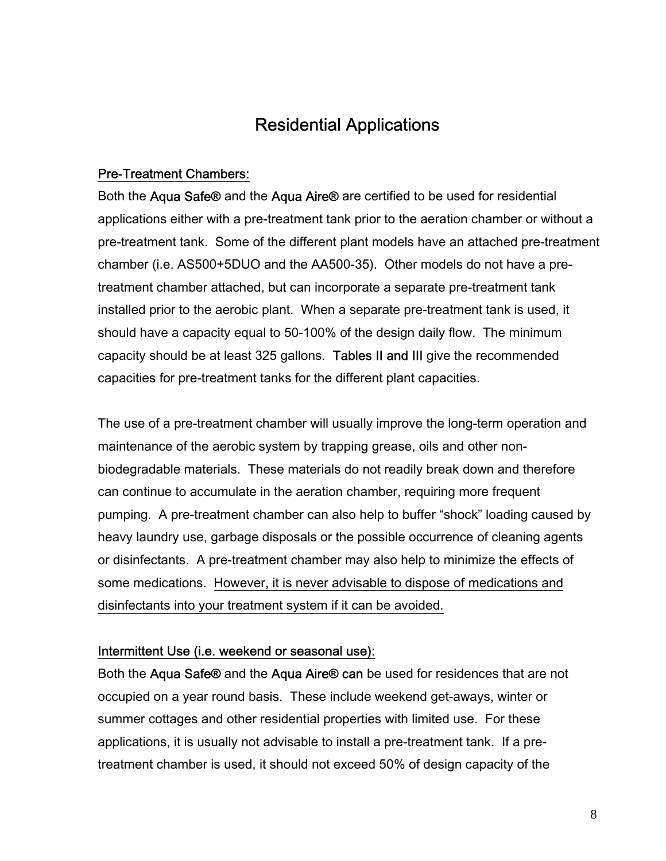### Residential Applications

#### Pre-Treatment Chambers:

Both the Aqua Safe® and the Aqua Aire® are certified to be used for residential applications either with a pre-treatment tank prior to the aeration chamber or without a pre-treatment tank. Some of the different plant models have an attached pre-treatment chamber (i.e. AS500+5DUO and the AA500-35). Other models do not have a pretreatment chamber attached, but can incorporate a separate pre-treatment tank installed prior to the aerobic plant. When a separate pre-treatment tank is used, it should have a capacity equal to 50-100% of the design daily flow. The minimum capacity should be at least 325 gallons. Tables II and III give the recommended capacities for pre-treatment tanks for the different plant capacities.

The use of a pre-treatment chamber will usually improve the long-term operation and maintenance of the aerobic system by trapping grease, oils and other nonbiodegradable materials. These materials do not readily break down and therefore can continue to accumulate in the aeration chamber, requiring more frequent pumping. A pre-treatment chamber can also help to buffer "shock" loading caused by heavy laundry use, garbage disposals or the possible occurrence of cleaning agents or disinfectants. A pre-treatment chamber may also help to minimize the effects of some medications. However, it is never advisable to dispose of medications and disinfectants into your treatment system if it can be avoided.

#### Intermittent Use (i.e. weekend or seasonal use):

Both the Aqua Safe® and the Aqua Aire® can be used for residences that are not occupied on a year round basis. These include weekend get-aways, winter or summer cottages and other residential properties with limited use. For these applications, it is usually not advisable to install a pre-treatment tank. If a pretreatment chamber is used, it should not exceed 50% of design capacity of the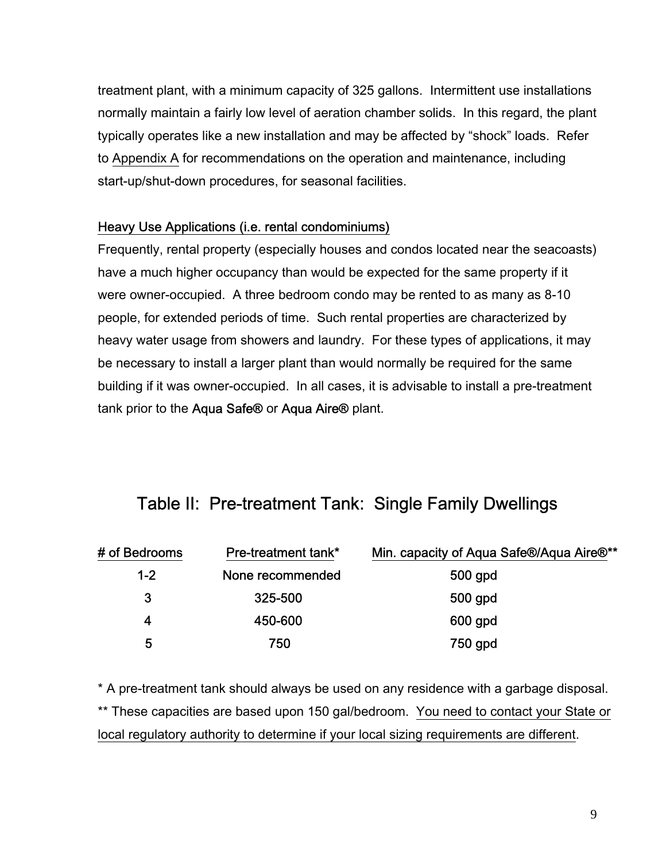treatment plant, with a minimum capacity of 325 gallons. Intermittent use installations normally maintain a fairly low level of aeration chamber solids. In this regard, the plant typically operates like a new installation and may be affected by "shock" loads. Refer to Appendix A for recommendations on the operation and maintenance, including start-up/shut-down procedures, for seasonal facilities.

#### Heavy Use Applications (i.e. rental condominiums)

Frequently, rental property (especially houses and condos located near the seacoasts) have a much higher occupancy than would be expected for the same property if it were owner-occupied. A three bedroom condo may be rented to as many as 8-10 people, for extended periods of time. Such rental properties are characterized by heavy water usage from showers and laundry. For these types of applications, it may be necessary to install a larger plant than would normally be required for the same building if it was owner-occupied. In all cases, it is advisable to install a pre-treatment tank prior to the Aqua Safe® or Aqua Aire® plant.

## Table II: Pre-treatment Tank: Single Family Dwellings

| # of Bedrooms | <b>Pre-treatment tank*</b> | Min. capacity of Aqua Safe®/Aqua Aire®** |
|---------------|----------------------------|------------------------------------------|
| $1 - 2$       | None recommended           | 500 gpd                                  |
| 3             | 325-500                    | 500 gpd                                  |
| 4             | 450-600                    | 600 gpd                                  |
| 5             | 750                        | 750 gpd                                  |

\* A pre-treatment tank should always be used on any residence with a garbage disposal. \*\* These capacities are based upon 150 gal/bedroom. You need to contact your State or local regulatory authority to determine if your local sizing requirements are different.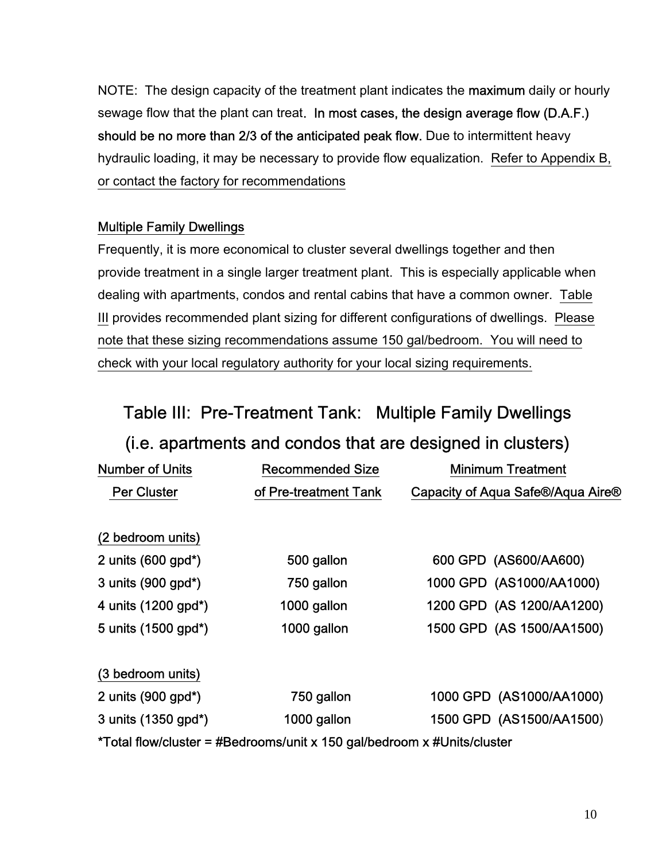NOTE: The design capacity of the treatment plant indicates the **maximum** daily or hourly sewage flow that the plant can treat. In most cases, the design average flow (D.A.F.) should be no more than 2/3 of the anticipated peak flow. Due to intermittent heavy hydraulic loading, it may be necessary to provide flow equalization. Refer to Appendix B, or contact the factory for recommendations

### Multiple Family Dwellings

Frequently, it is more economical to cluster several dwellings together and then provide treatment in a single larger treatment plant. This is especially applicable when dealing with apartments, condos and rental cabins that have a common owner. Table III provides recommended plant sizing for different configurations of dwellings. Please note that these sizing recommendations assume 150 gal/bedroom. You will need to check with your local regulatory authority for your local sizing requirements.

## Table III: Pre-Treatment Tank: Multiple Family Dwellings

## (i.e. apartments and condos that are designed in clusters)

| <b>Number of Units</b>            | <b>Recommended Size</b>                                                 | <b>Minimum Treatment</b>          |
|-----------------------------------|-------------------------------------------------------------------------|-----------------------------------|
| <b>Per Cluster</b>                | of Pre-treatment Tank                                                   | Capacity of Aqua Safe®/Aqua Aire® |
|                                   |                                                                         |                                   |
| (2 bedroom units)                 |                                                                         |                                   |
| 2 units $(600$ gpd <sup>*</sup> ) | 500 gallon                                                              | 600 GPD (AS600/AA600)             |
| 3 units (900 gpd*)                | 750 gallon                                                              | 1000 GPD (AS1000/AA1000)          |
| 4 units (1200 gpd*)               | 1000 gallon                                                             | 1200 GPD (AS 1200/AA1200)         |
| 5 units (1500 gpd*)               | 1000 gallon                                                             | 1500 GPD (AS 1500/AA1500)         |
| (3 bedroom units)                 |                                                                         |                                   |
| 2 units (900 gpd*)                | 750 gallon                                                              | 1000 GPD (AS1000/AA1000)          |
| 3 units (1350 gpd*)               | 1000 gallon                                                             | 1500 GPD (AS1500/AA1500)          |
|                                   | *Total flow/cluster = #Bedrooms/unit x 150 gal/bedroom x #Units/cluster |                                   |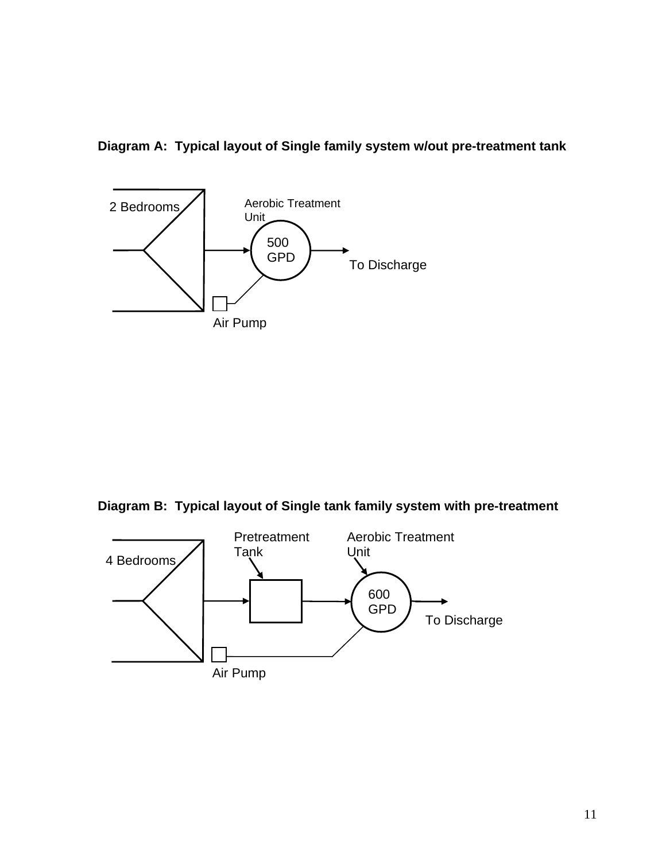**Diagram A: Typical layout of Single family system w/out pre-treatment tank** 



**Diagram B: Typical layout of Single tank family system with pre-treatment** 

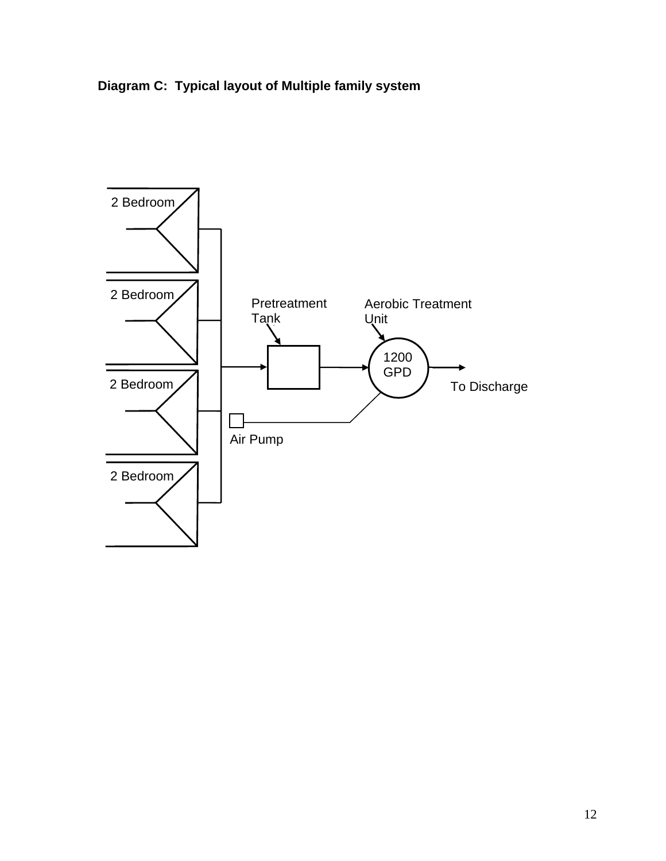

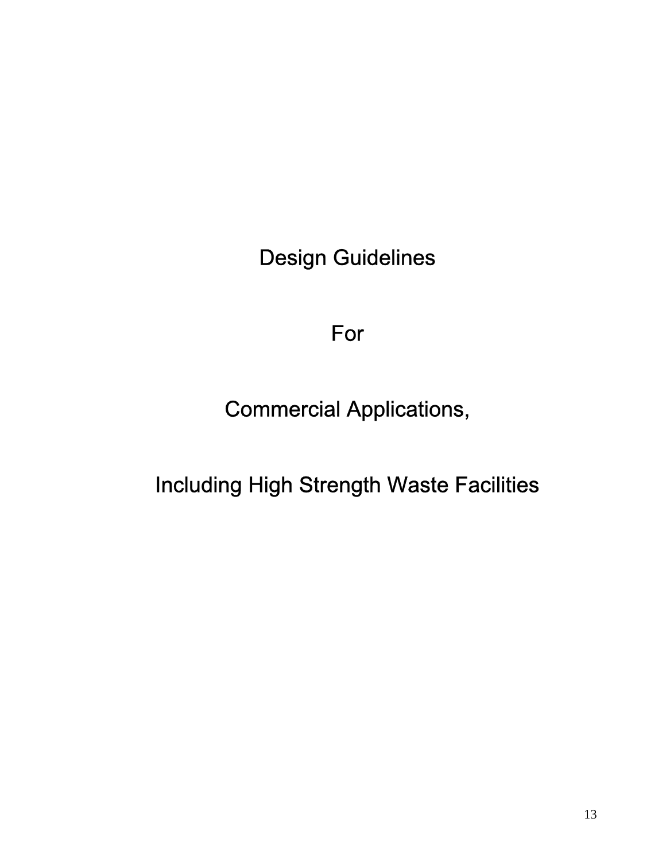Design Guidelines

## For

Commercial Applications,

Including High Strength Waste Facilities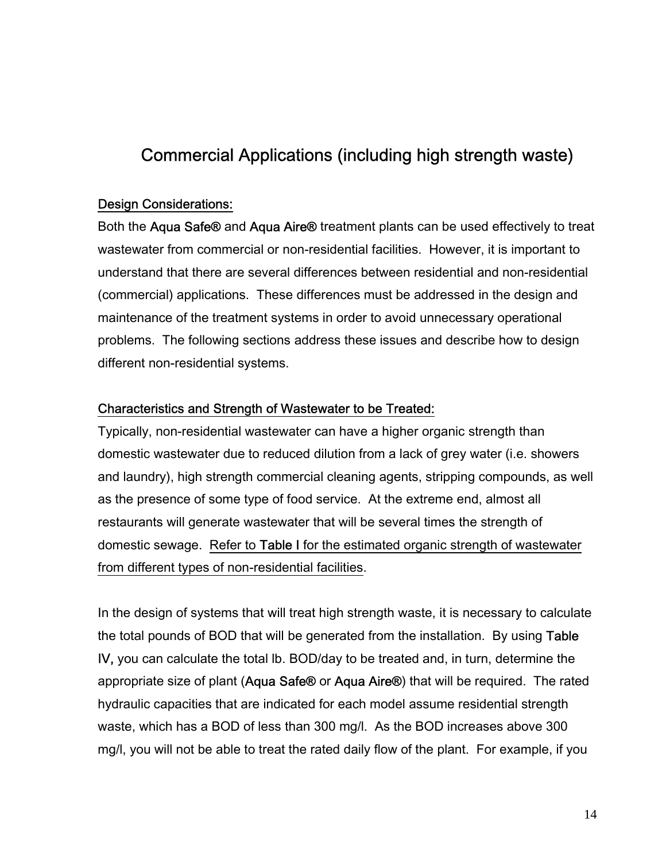## Commercial Applications (including high strength waste)

#### Design Considerations:

Both the Aqua Safe<sup>®</sup> and Aqua Aire<sup>®</sup> treatment plants can be used effectively to treat wastewater from commercial or non-residential facilities. However, it is important to understand that there are several differences between residential and non-residential (commercial) applications. These differences must be addressed in the design and maintenance of the treatment systems in order to avoid unnecessary operational problems. The following sections address these issues and describe how to design different non-residential systems.

#### Characteristics and Strength of Wastewater to be Treated:

Typically, non-residential wastewater can have a higher organic strength than domestic wastewater due to reduced dilution from a lack of grey water (i.e. showers and laundry), high strength commercial cleaning agents, stripping compounds, as well as the presence of some type of food service. At the extreme end, almost all restaurants will generate wastewater that will be several times the strength of domestic sewage. Refer to Table I for the estimated organic strength of wastewater from different types of non-residential facilities.

In the design of systems that will treat high strength waste, it is necessary to calculate the total pounds of BOD that will be generated from the installation. By using Table IV, you can calculate the total lb. BOD/day to be treated and, in turn, determine the appropriate size of plant (Aqua Safe® or Aqua Aire®) that will be required. The rated hydraulic capacities that are indicated for each model assume residential strength waste, which has a BOD of less than 300 mg/l. As the BOD increases above 300 mg/l, you will not be able to treat the rated daily flow of the plant. For example, if you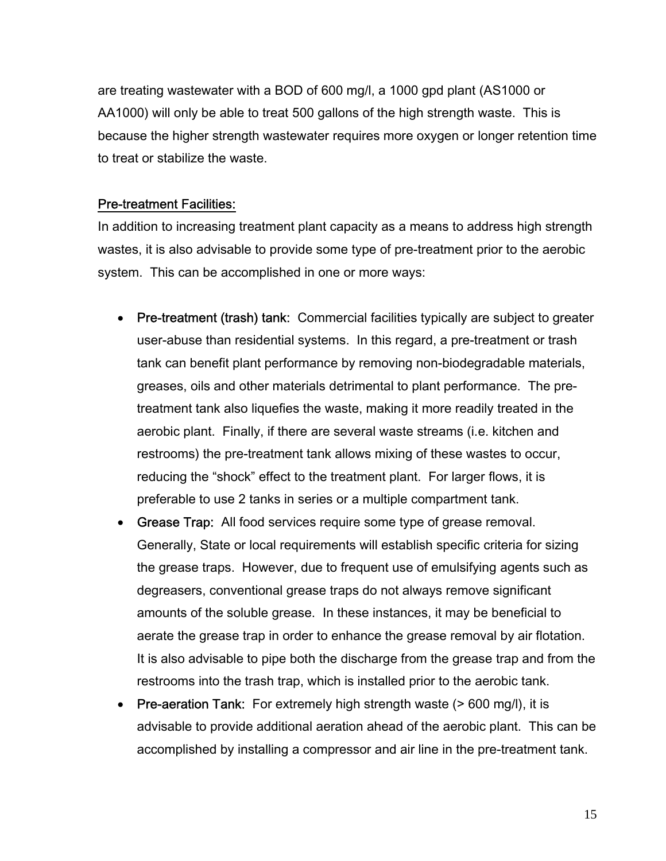are treating wastewater with a BOD of 600 mg/l, a 1000 gpd plant (AS1000 or AA1000) will only be able to treat 500 gallons of the high strength waste. This is because the higher strength wastewater requires more oxygen or longer retention time to treat or stabilize the waste.

#### Pre-treatment Facilities:

In addition to increasing treatment plant capacity as a means to address high strength wastes, it is also advisable to provide some type of pre-treatment prior to the aerobic system. This can be accomplished in one or more ways:

- Pre-treatment (trash) tank: Commercial facilities typically are subject to greater user-abuse than residential systems. In this regard, a pre-treatment or trash tank can benefit plant performance by removing non-biodegradable materials, greases, oils and other materials detrimental to plant performance. The pretreatment tank also liquefies the waste, making it more readily treated in the aerobic plant. Finally, if there are several waste streams (i.e. kitchen and restrooms) the pre-treatment tank allows mixing of these wastes to occur, reducing the "shock" effect to the treatment plant. For larger flows, it is preferable to use 2 tanks in series or a multiple compartment tank.
- Grease Trap: All food services require some type of grease removal. Generally, State or local requirements will establish specific criteria for sizing the grease traps. However, due to frequent use of emulsifying agents such as degreasers, conventional grease traps do not always remove significant amounts of the soluble grease. In these instances, it may be beneficial to aerate the grease trap in order to enhance the grease removal by air flotation. It is also advisable to pipe both the discharge from the grease trap and from the restrooms into the trash trap, which is installed prior to the aerobic tank.
- Pre-aeration Tank: For extremely high strength waste (> 600 mg/l), it is advisable to provide additional aeration ahead of the aerobic plant. This can be accomplished by installing a compressor and air line in the pre-treatment tank.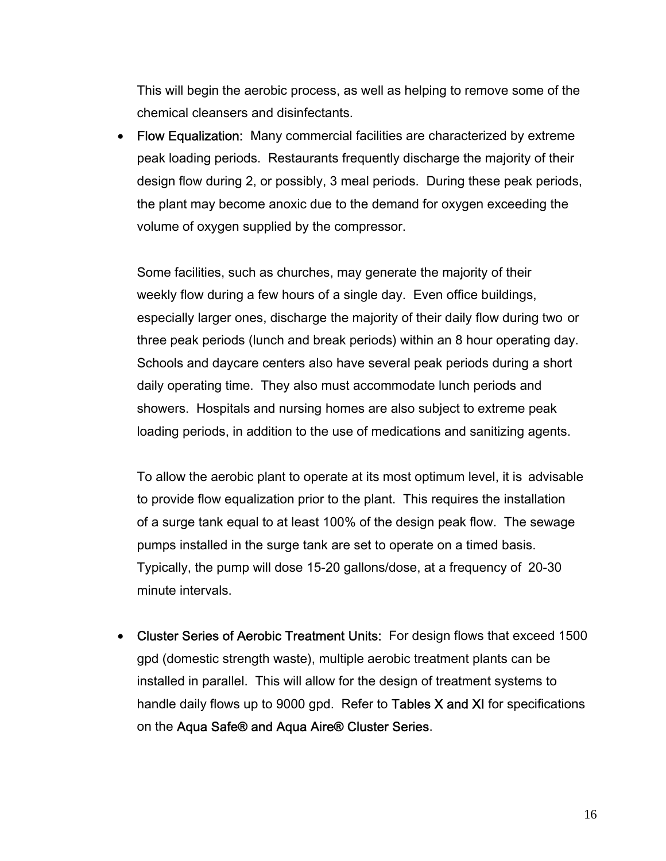This will begin the aerobic process, as well as helping to remove some of the chemical cleansers and disinfectants.

• Flow Equalization: Many commercial facilities are characterized by extreme peak loading periods. Restaurants frequently discharge the majority of their design flow during 2, or possibly, 3 meal periods. During these peak periods, the plant may become anoxic due to the demand for oxygen exceeding the volume of oxygen supplied by the compressor.

 Some facilities, such as churches, may generate the majority of their weekly flow during a few hours of a single day. Even office buildings, especially larger ones, discharge the majority of their daily flow during two or three peak periods (lunch and break periods) within an 8 hour operating day. Schools and daycare centers also have several peak periods during a short daily operating time. They also must accommodate lunch periods and showers. Hospitals and nursing homes are also subject to extreme peak loading periods, in addition to the use of medications and sanitizing agents.

 To allow the aerobic plant to operate at its most optimum level, it is advisable to provide flow equalization prior to the plant. This requires the installation of a surge tank equal to at least 100% of the design peak flow. The sewage pumps installed in the surge tank are set to operate on a timed basis. Typically, the pump will dose 15-20 gallons/dose, at a frequency of 20-30 minute intervals.

• Cluster Series of Aerobic Treatment Units: For design flows that exceed 1500 gpd (domestic strength waste), multiple aerobic treatment plants can be installed in parallel. This will allow for the design of treatment systems to handle daily flows up to 9000 gpd. Refer to Tables  $X$  and  $X$ I for specifications on the Aqua Safe® and Aqua Aire® Cluster Series.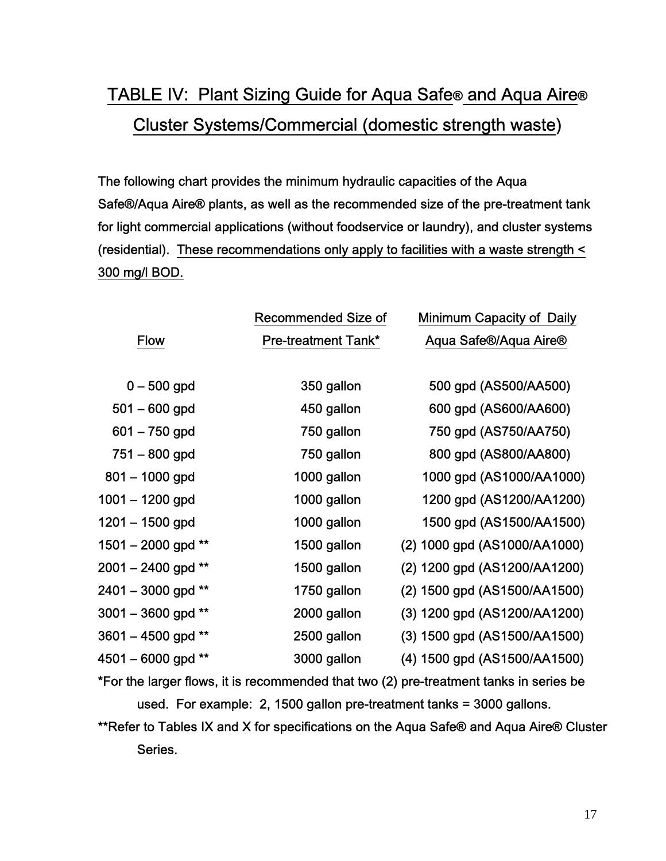## TABLE IV: Plant Sizing Guide for Aqua Safe® and Aqua Aire® Cluster Systems/Commercial (domestic strength waste)

The following chart provides the minimum hydraulic capacities of the Aqua Safe®/Aqua Aire® plants, as well as the recommended size of the pre-treatment tank for light commercial applications (without foodservice or laundry), and cluster systems (residential). These recommendations only apply to facilities with a waste strength < 300 mg/l BOD.

|                    | <b>Recommended Size of</b> | <b>Minimum Capacity of Daily</b> |
|--------------------|----------------------------|----------------------------------|
| <b>Flow</b>        | <b>Pre-treatment Tank*</b> | Aqua Safe®/Aqua Aire®            |
|                    |                            |                                  |
| $0 - 500$ gpd      | 350 gallon                 | 500 gpd (AS500/AA500)            |
| $501 - 600$ gpd    | 450 gallon                 | 600 gpd (AS600/AA600)            |
| $601 - 750$ gpd    | 750 gallon                 | 750 gpd (AS750/AA750)            |
| $751 - 800$ gpd    | 750 gallon                 | 800 gpd (AS800/AA800)            |
| $801 - 1000$ gpd   | 1000 gallon                | 1000 gpd (AS1000/AA1000)         |
| $1001 - 1200$ gpd  | 1000 gallon                | 1200 gpd (AS1200/AA1200)         |
| 1201 – 1500 gpd    | 1000 gallon                | 1500 gpd (AS1500/AA1500)         |
| 1501 - 2000 gpd ** | 1500 gallon                | (2) 1000 gpd (AS1000/AA1000)     |
| 2001 – 2400 gpd ** | 1500 gallon                | (2) 1200 gpd (AS1200/AA1200)     |
| 2401 - 3000 gpd ** | 1750 gallon                | (2) 1500 gpd (AS1500/AA1500)     |
| 3001 - 3600 gpd ** | 2000 gallon                | (3) 1200 gpd (AS1200/AA1200)     |
| 3601 – 4500 gpd ** | 2500 gallon                | (3) 1500 gpd (AS1500/AA1500)     |
| 4501 – 6000 gpd ** | 3000 gallon                | (4) 1500 gpd (AS1500/AA1500)     |

\*For the larger flows, it is recommended that two (2) pre-treatment tanks in series be used. For example: 2, 1500 gallon pre-treatment tanks = 3000 gallons.

\*\*Refer to Tables IX and X for specifications on the Aqua Safe® and Aqua Aire® Cluster Series.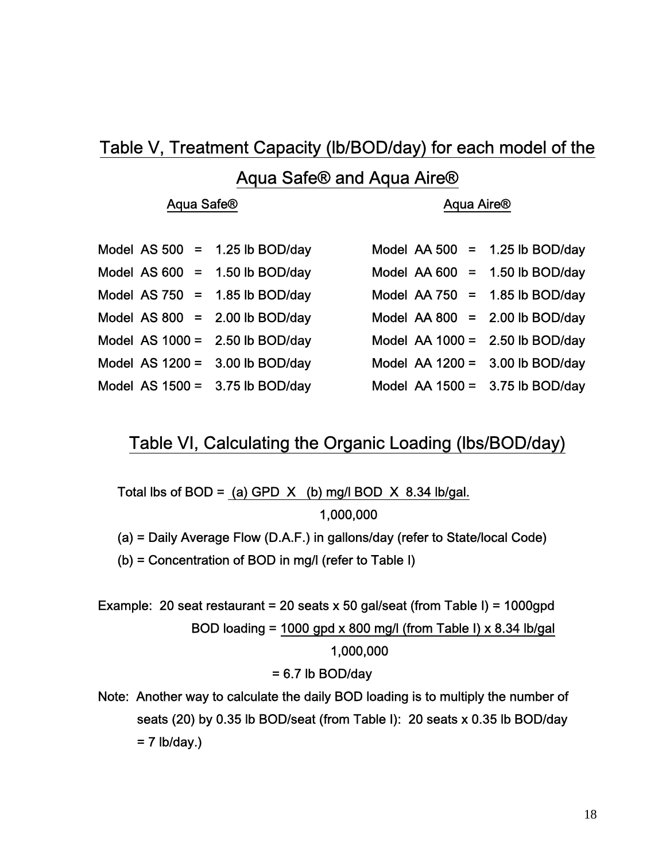### Table V, Treatment Capacity (lb/BOD/day) for each model of the

### Aqua Safe® and Aqua Aire®

#### Aqua Safe® **Aqua Aire®** Aqua Aire®

|  | Aqua Aire |  |
|--|-----------|--|
|  |           |  |

| Model AS $500 =$  |     | 1.25 lb BOD/day |
|-------------------|-----|-----------------|
| Model AS 600      | $=$ | 1.50 lb BOD/day |
| Model AS $750 =$  |     | 1.85 lb BOD/day |
| Model AS $800 =$  |     | 2.00 lb BOD/day |
| Model AS $1000 =$ |     | 2.50 lb BOD/day |
| Model AS $1200 =$ |     | 3.00 lb BOD/day |
| Model AS $1500 =$ |     | 3.75 lb BOD/day |

| Model AS $500 = 1.25$ lb BOD/day  | Model AA 500 = $1.25$ lb BOD/day  |  |
|-----------------------------------|-----------------------------------|--|
| Model AS $600 = 1.50$ lb BOD/day  | Model AA $600 = 1.50$ lb BOD/day  |  |
| Model AS $750 = 1.85$ lb BOD/day  | Model AA $750 = 1.85$ lb BOD/day  |  |
| Model AS $800 = 2.00$ lb BOD/day  | Model AA $800 = 2.00$ lb BOD/day  |  |
| Model AS $1000 = 2.50$ lb BOD/day | Model AA $1000 = 2.50$ lb BOD/day |  |
| Model AS $1200 = 3.00$ lb BOD/day | Model AA $1200 = 3.00$ lb BOD/day |  |
| Model AS $1500 = 3.75$ lb BOD/day | Model AA $1500 = 3.75$ lb BOD/day |  |

### Table VI, Calculating the Organic Loading (lbs/BOD/day)

Total lbs of BOD = (a) GPD  $X$  (b) mg/l BOD  $X$  8.34 lb/gal. 1,000,000

(a) = Daily Average Flow (D.A.F.) in gallons/day (refer to State/local Code)

(b) = Concentration of BOD in mg/l (refer to Table I)

Example: 20 seat restaurant = 20 seats x 50 gal/seat (from Table I) = 1000gpd BOD loading = 1000 gpd x 800 mg/l (from Table I) x 8.34 lb/gal 1,000,000

#### $= 6.7$  lb BOD/day

Note: Another way to calculate the daily BOD loading is to multiply the number of seats (20) by 0.35 lb BOD/seat (from Table I): 20 seats x 0.35 lb BOD/day  $= 7$  lb/day.)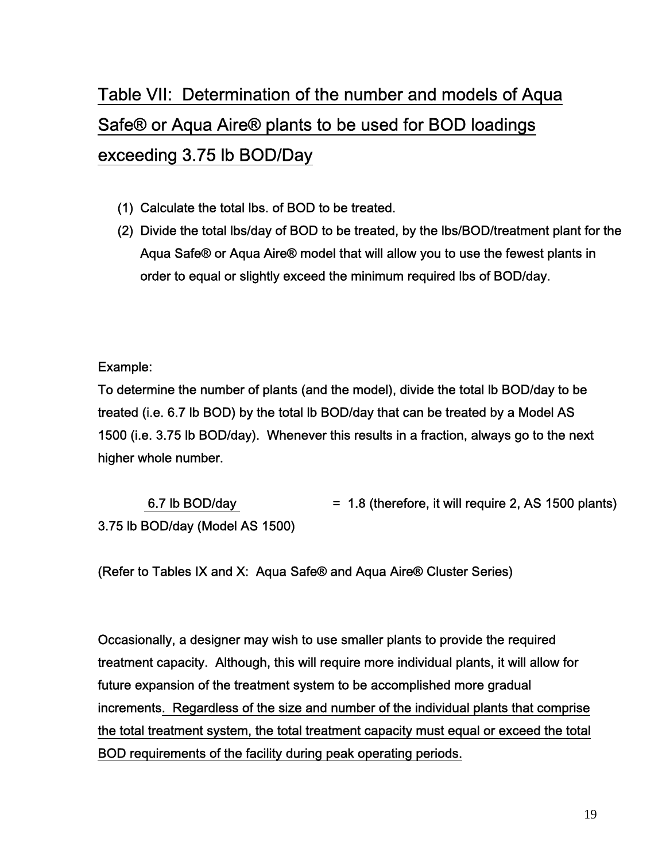## Table VII: Determination of the number and models of Aqua Safe® or Aqua Aire® plants to be used for BOD loadings exceeding 3.75 lb BOD/Day

- (1) Calculate the total lbs. of BOD to be treated.
- (2) Divide the total lbs/day of BOD to be treated, by the lbs/BOD/treatment plant for the Aqua Safe® or Aqua Aire® model that will allow you to use the fewest plants in order to equal or slightly exceed the minimum required lbs of BOD/day.

Example:

To determine the number of plants (and the model), divide the total lb BOD/day to be treated (i.e. 6.7 lb BOD) by the total lb BOD/day that can be treated by a Model AS 1500 (i.e. 3.75 lb BOD/day). Whenever this results in a fraction, always go to the next higher whole number.

6.7 lb BOD/day  $= 1.8$  (therefore, it will require 2, AS 1500 plants) 3.75 lb BOD/day (Model AS 1500)

(Refer to Tables IX and X: Aqua Safe® and Aqua Aire® Cluster Series)

Occasionally, a designer may wish to use smaller plants to provide the required treatment capacity. Although, this will require more individual plants, it will allow for future expansion of the treatment system to be accomplished more gradual increments. Regardless of the size and number of the individual plants that comprise the total treatment system, the total treatment capacity must equal or exceed the total BOD requirements of the facility during peak operating periods.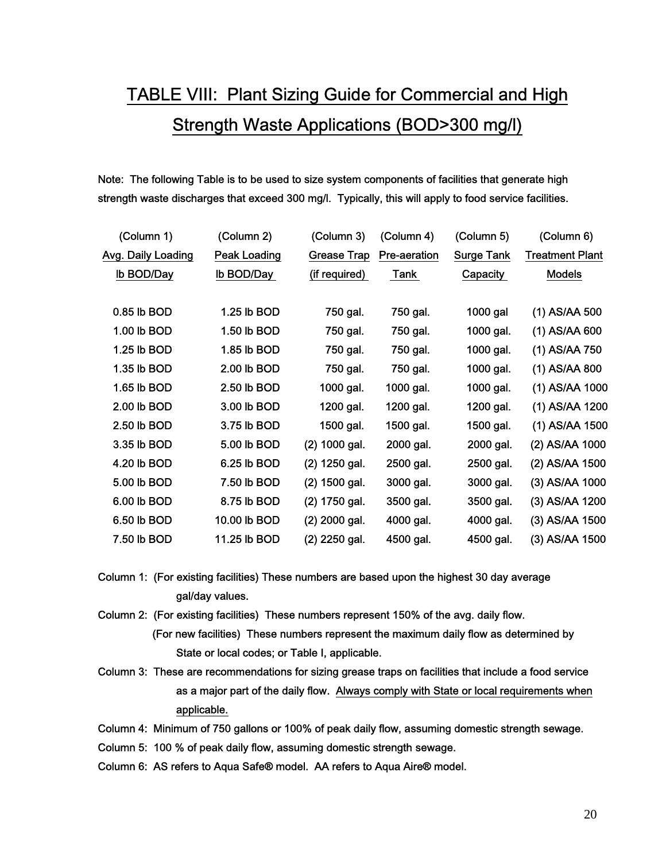## TABLE VIII: Plant Sizing Guide for Commercial and High Strength Waste Applications (BOD>300 mg/l)

Note: The following Table is to be used to size system components of facilities that generate high strength waste discharges that exceed 300 mg/l. Typically, this will apply to food service facilities.

| (Column 1)         | (Column 2)          | (Column 3)         | (Column 4)   | (Column 5)        | (Column 6)             |
|--------------------|---------------------|--------------------|--------------|-------------------|------------------------|
| Avg. Daily Loading | <b>Peak Loading</b> | <b>Grease Trap</b> | Pre-aeration | <b>Surge Tank</b> | <b>Treatment Plant</b> |
| Ib BOD/Day         | Ib BOD/Day          | (if required)      | Tank         | Capacity          | <b>Models</b>          |
|                    |                     |                    |              |                   |                        |
| 0.85 lb BOD        | 1.25 lb BOD         | 750 gal.           | 750 gal.     | 1000 gal          | (1) AS/AA 500          |
| 1.00 lb BOD        | 1.50 lb BOD         | 750 gal.           | 750 gal.     | 1000 gal.         | (1) AS/AA 600          |
| 1.25 lb BOD        | 1.85 lb BOD         | 750 gal.           | 750 gal.     | 1000 gal.         | (1) AS/AA 750          |
| 1.35 lb BOD        | 2.00 lb BOD         | 750 gal.           | 750 gal.     | 1000 gal.         | (1) AS/AA 800          |
| 1.65 lb BOD        | 2.50 lb BOD         | 1000 gal.          | 1000 gal.    | 1000 gal.         | (1) AS/AA 1000         |
| 2.00 lb BOD        | 3.00 lb BOD         | 1200 gal.          | 1200 gal.    | 1200 gal.         | (1) AS/AA 1200         |
| 2.50 lb BOD        | 3.75 lb BOD         | 1500 gal.          | 1500 gal.    | 1500 gal.         | (1) AS/AA 1500         |
| 3.35 lb BOD        | 5.00 lb BOD         | (2) 1000 gal.      | 2000 gal.    | 2000 gal.         | (2) AS/AA 1000         |
| 4.20 lb BOD        | 6.25 lb BOD         | (2) 1250 gal.      | 2500 gal.    | 2500 gal.         | (2) AS/AA 1500         |
| 5.00 lb BOD        | 7.50 lb BOD         | $(2)$ 1500 gal.    | 3000 gal.    | 3000 gal.         | (3) AS/AA 1000         |
| 6.00 lb BOD        | 8.75 lb BOD         | (2) 1750 gal.      | 3500 gal.    | 3500 gal.         | (3) AS/AA 1200         |
| 6.50 lb BOD        | 10.00 lb BOD        | $(2)$ 2000 gal.    | 4000 gal.    | 4000 gal.         | (3) AS/AA 1500         |
| 7.50 lb BOD        | 11.25 lb BOD        | $(2)$ 2250 gal.    | 4500 gal.    | 4500 gal.         | (3) AS/AA 1500         |

Column 1: (For existing facilities) These numbers are based upon the highest 30 day average gal/day values.

Column 2: (For existing facilities) These numbers represent 150% of the avg. daily flow. (For new facilities) These numbers represent the maximum daily flow as determined by State or local codes; or Table I, applicable.

- Column 3: These are recommendations for sizing grease traps on facilities that include a food service as a major part of the daily flow. Always comply with State or local requirements when applicable.
- Column 4: Minimum of 750 gallons or 100% of peak daily flow, assuming domestic strength sewage.

Column 5: 100 % of peak daily flow, assuming domestic strength sewage.

Column 6: AS refers to Aqua Safe® model. AA refers to Aqua Aire® model.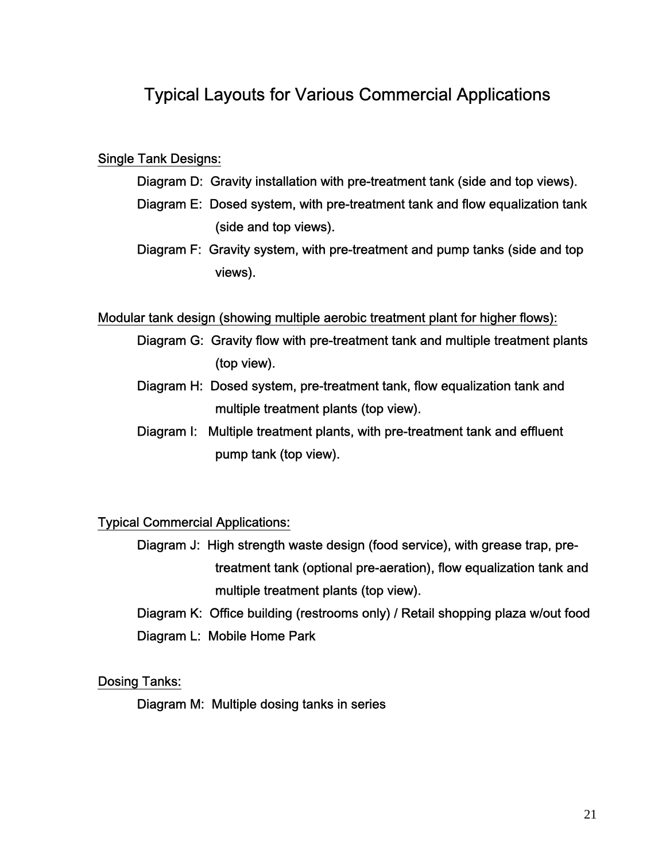## Typical Layouts for Various Commercial Applications

#### Single Tank Designs:

- Diagram D: Gravity installation with pre-treatment tank (side and top views).
- Diagram E: Dosed system, with pre-treatment tank and flow equalization tank (side and top views).
- Diagram F: Gravity system, with pre-treatment and pump tanks (side and top views).

#### Modular tank design (showing multiple aerobic treatment plant for higher flows):

- Diagram G: Gravity flow with pre-treatment tank and multiple treatment plants (top view).
- Diagram H: Dosed system, pre-treatment tank, flow equalization tank and multiple treatment plants (top view).
- Diagram I: Multiple treatment plants, with pre-treatment tank and effluent pump tank (top view).

#### Typical Commercial Applications:

- Diagram J: High strength waste design (food service), with grease trap, pre treatment tank (optional pre-aeration), flow equalization tank and multiple treatment plants (top view).
- Diagram K: Office building (restrooms only) / Retail shopping plaza w/out food Diagram L: Mobile Home Park

#### Dosing Tanks:

Diagram M: Multiple dosing tanks in series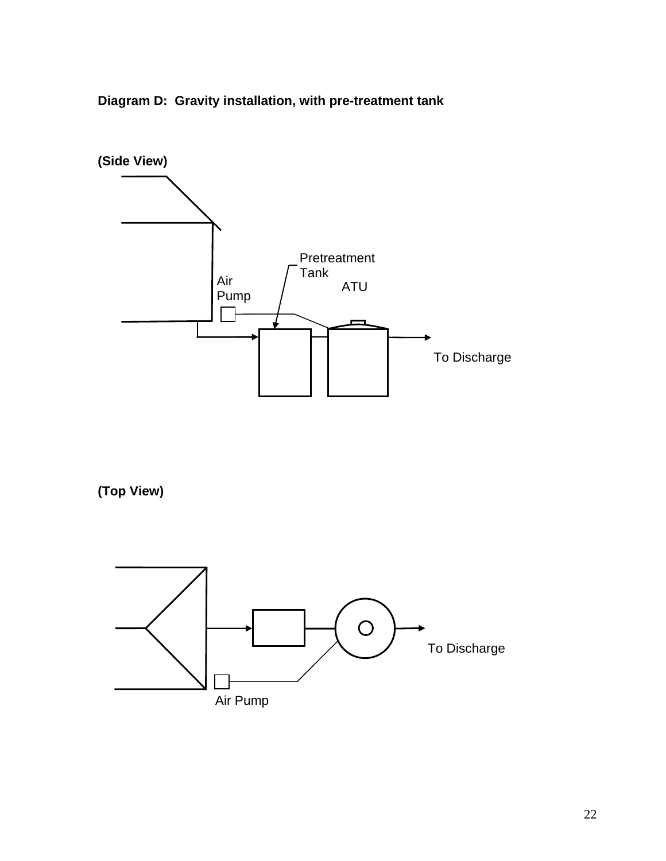**Diagram D: Gravity installation, with pre-treatment tank** 



**(Top View)** 

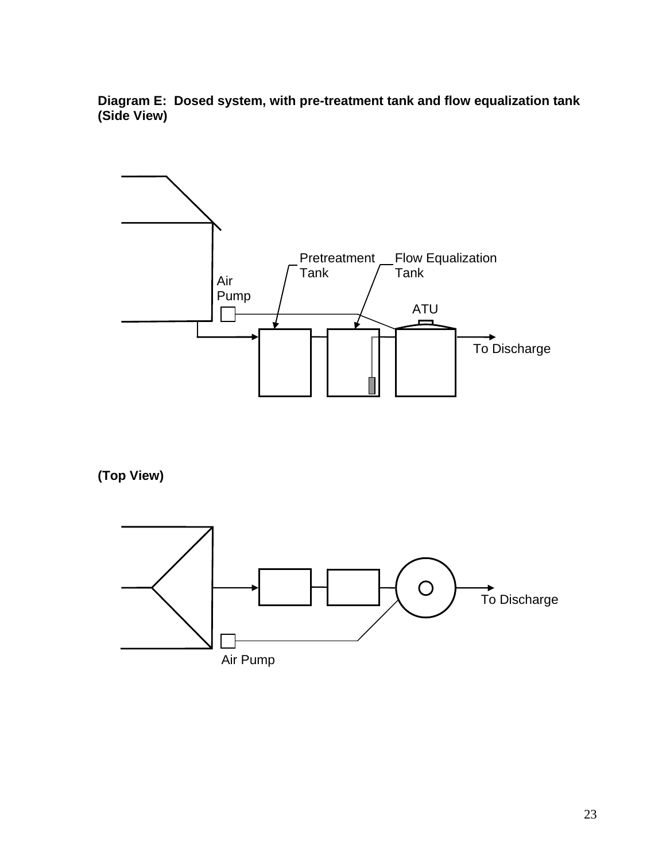**Diagram E: Dosed system, with pre-treatment tank and flow equalization tank (Side View)** 



**(Top View)** 

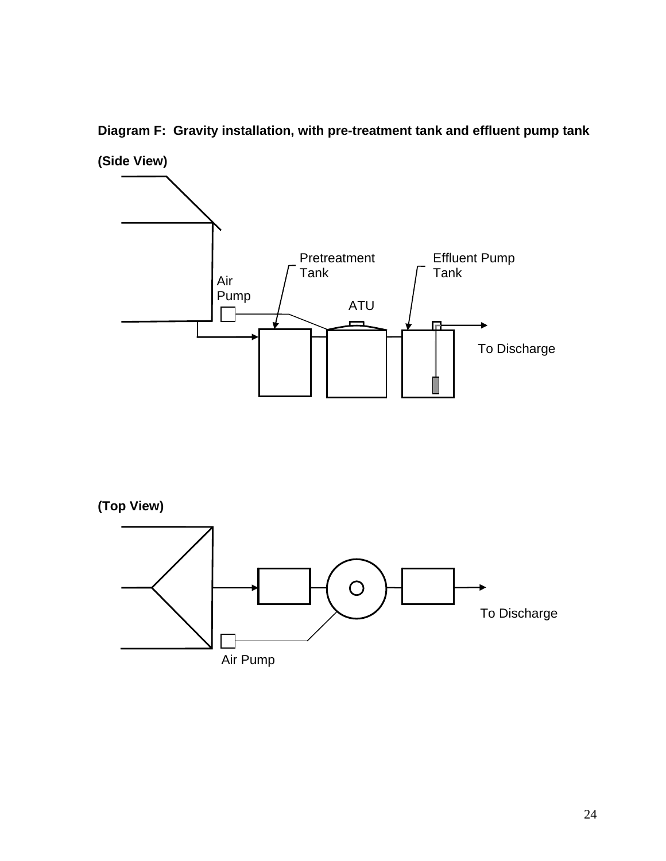

**Diagram F: Gravity installation, with pre-treatment tank and effluent pump tank** 



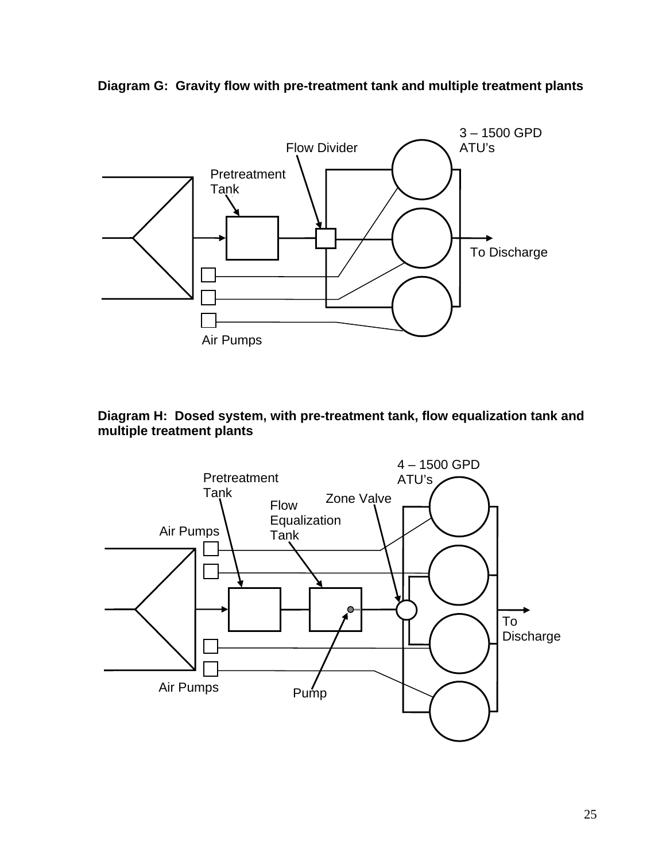

**Diagram G: Gravity flow with pre-treatment tank and multiple treatment plants** 



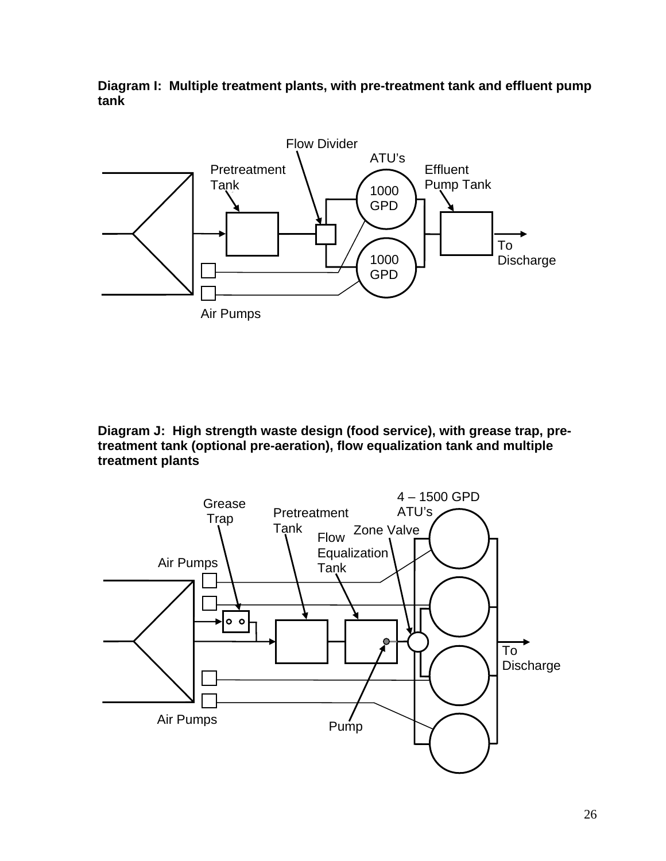**Diagram I: Multiple treatment plants, with pre-treatment tank and effluent pump tank**



**Diagram J: High strength waste design (food service), with grease trap, pretreatment tank (optional pre-aeration), flow equalization tank and multiple treatment plants**

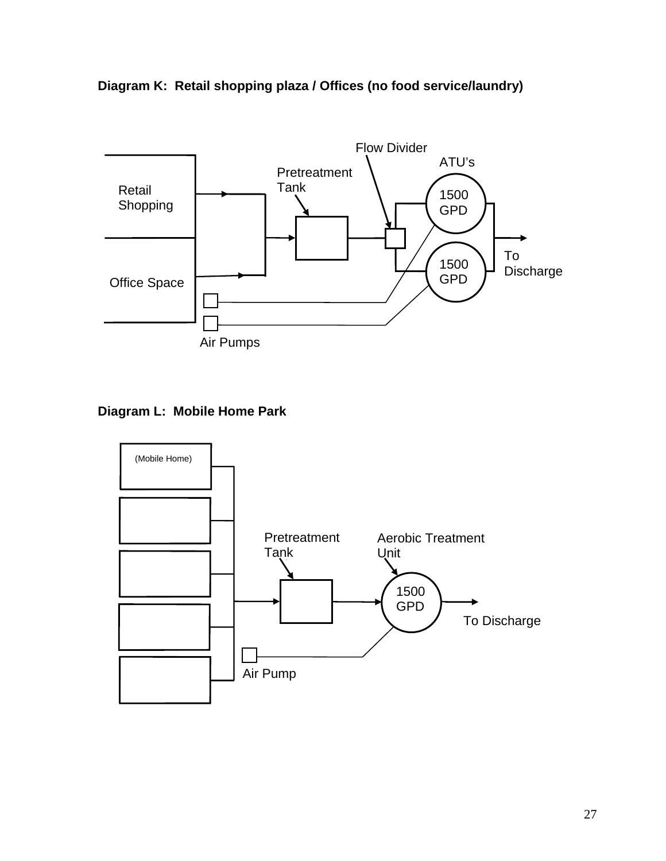



#### **Diagram L: Mobile Home Park**

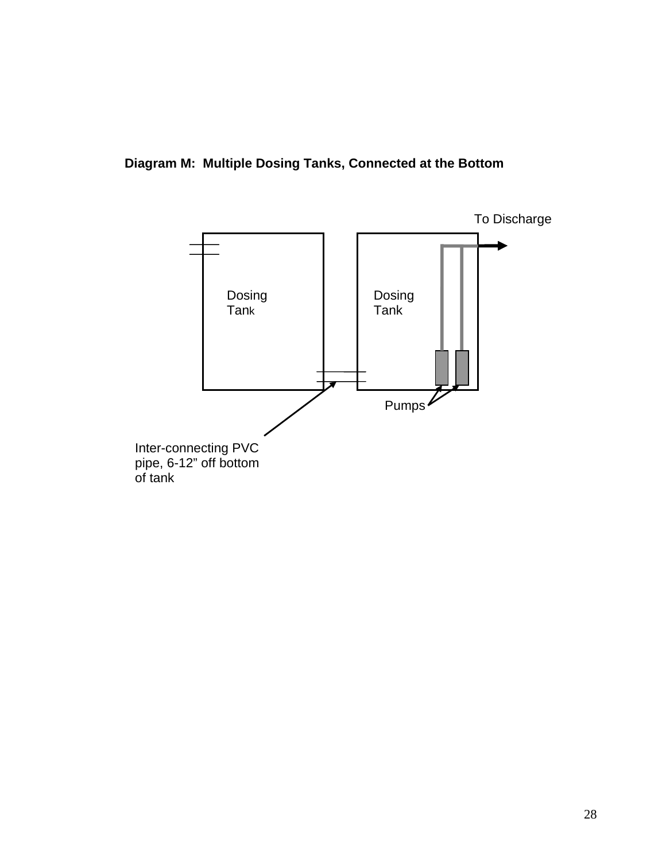**Diagram M: Multiple Dosing Tanks, Connected at the Bottom** 

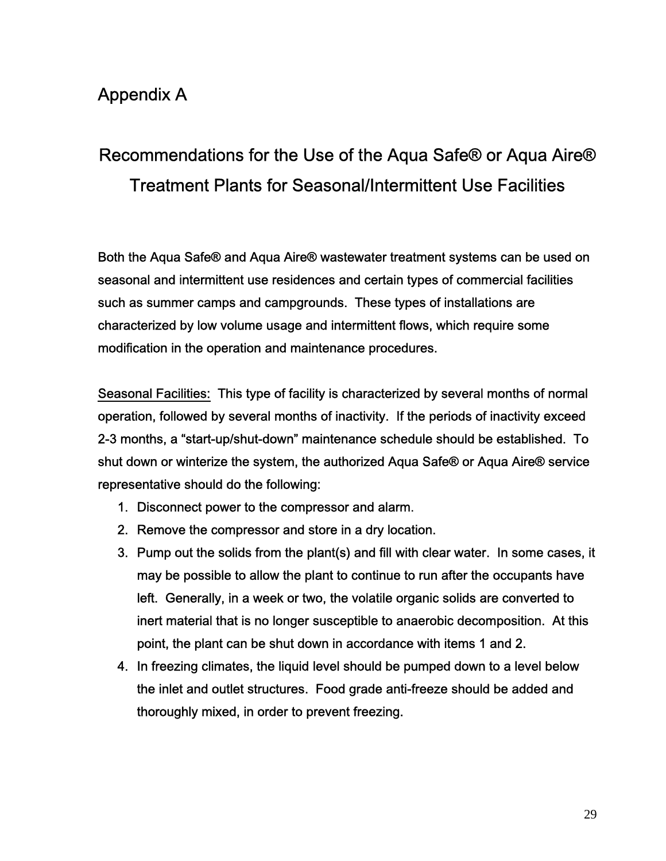## Appendix A

## Recommendations for the Use of the Aqua Safe® or Aqua Aire® Treatment Plants for Seasonal/Intermittent Use Facilities

Both the Aqua Safe® and Aqua Aire® wastewater treatment systems can be used on seasonal and intermittent use residences and certain types of commercial facilities such as summer camps and campgrounds. These types of installations are characterized by low volume usage and intermittent flows, which require some modification in the operation and maintenance procedures.

Seasonal Facilities: This type of facility is characterized by several months of normal operation, followed by several months of inactivity. If the periods of inactivity exceed 2-3 months, a "start-up/shut-down" maintenance schedule should be established. To shut down or winterize the system, the authorized Aqua Safe® or Aqua Aire® service representative should do the following:

- 1. Disconnect power to the compressor and alarm.
- 2. Remove the compressor and store in a dry location.
- 3. Pump out the solids from the plant(s) and fill with clear water. In some cases, it may be possible to allow the plant to continue to run after the occupants have left. Generally, in a week or two, the volatile organic solids are converted to inert material that is no longer susceptible to anaerobic decomposition. At this point, the plant can be shut down in accordance with items 1 and 2.
- 4. In freezing climates, the liquid level should be pumped down to a level below the inlet and outlet structures. Food grade anti-freeze should be added and thoroughly mixed, in order to prevent freezing.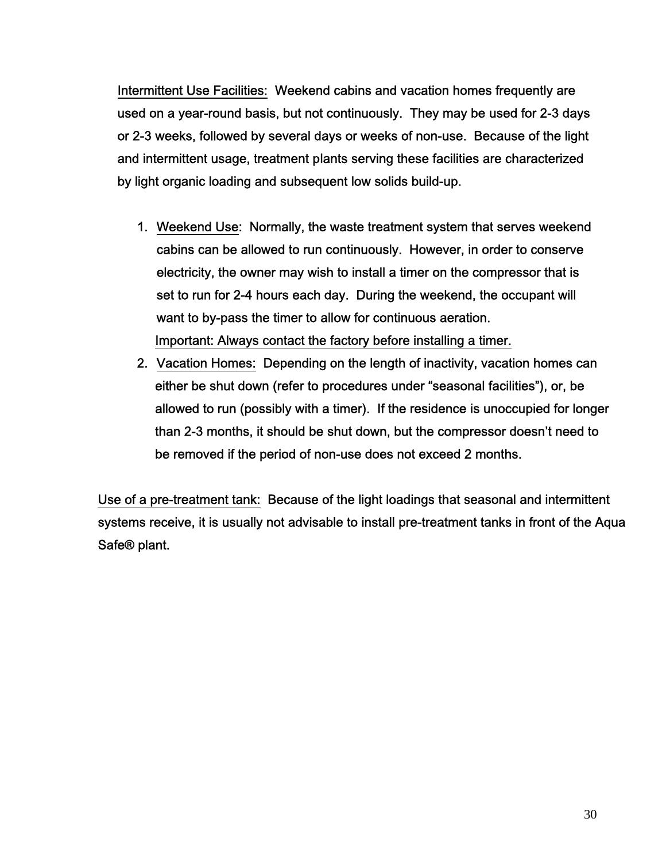Intermittent Use Facilities: Weekend cabins and vacation homes frequently are used on a year-round basis, but not continuously. They may be used for 2-3 days or 2-3 weeks, followed by several days or weeks of non-use. Because of the light and intermittent usage, treatment plants serving these facilities are characterized by light organic loading and subsequent low solids build-up.

- 1. Weekend Use: Normally, the waste treatment system that serves weekend cabins can be allowed to run continuously. However, in order to conserve electricity, the owner may wish to install a timer on the compressor that is set to run for 2-4 hours each day. During the weekend, the occupant will want to by-pass the timer to allow for continuous aeration. Important: Always contact the factory before installing a timer.
- 2. Vacation Homes: Depending on the length of inactivity, vacation homes can either be shut down (refer to procedures under "seasonal facilities"), or, be allowed to run (possibly with a timer). If the residence is unoccupied for longer than 2-3 months, it should be shut down, but the compressor doesn't need to be removed if the period of non-use does not exceed 2 months.

Use of a pre-treatment tank: Because of the light loadings that seasonal and intermittent systems receive, it is usually not advisable to install pre-treatment tanks in front of the Aqua Safe® plant.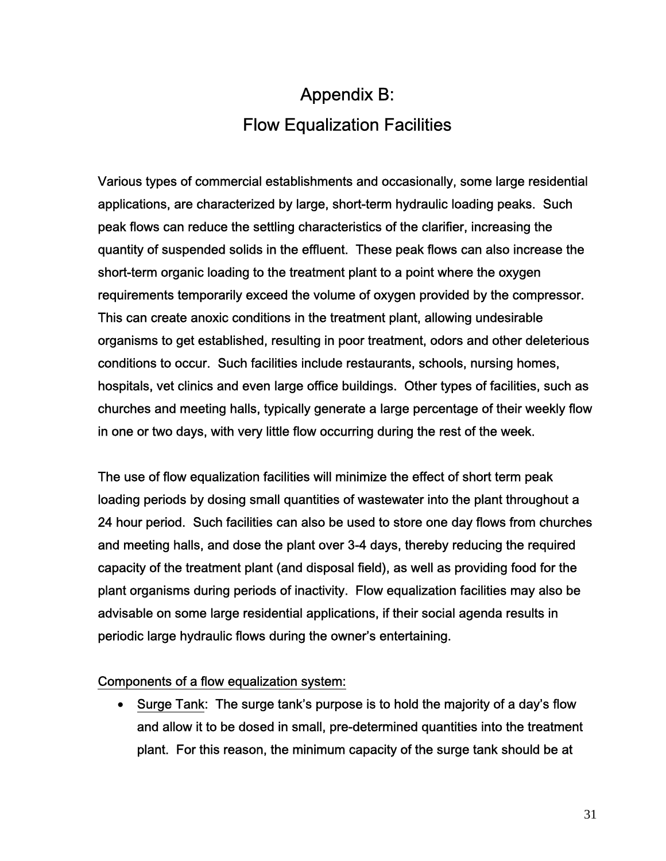## Appendix B: Flow Equalization Facilities

Various types of commercial establishments and occasionally, some large residential applications, are characterized by large, short-term hydraulic loading peaks. Such peak flows can reduce the settling characteristics of the clarifier, increasing the quantity of suspended solids in the effluent. These peak flows can also increase the short-term organic loading to the treatment plant to a point where the oxygen requirements temporarily exceed the volume of oxygen provided by the compressor. This can create anoxic conditions in the treatment plant, allowing undesirable organisms to get established, resulting in poor treatment, odors and other deleterious conditions to occur. Such facilities include restaurants, schools, nursing homes, hospitals, vet clinics and even large office buildings. Other types of facilities, such as churches and meeting halls, typically generate a large percentage of their weekly flow in one or two days, with very little flow occurring during the rest of the week.

The use of flow equalization facilities will minimize the effect of short term peak loading periods by dosing small quantities of wastewater into the plant throughout a 24 hour period. Such facilities can also be used to store one day flows from churches and meeting halls, and dose the plant over 3-4 days, thereby reducing the required capacity of the treatment plant (and disposal field), as well as providing food for the plant organisms during periods of inactivity. Flow equalization facilities may also be advisable on some large residential applications, if their social agenda results in periodic large hydraulic flows during the owner's entertaining.

#### Components of a flow equalization system:

• Surge Tank: The surge tank's purpose is to hold the majority of a day's flow and allow it to be dosed in small, pre-determined quantities into the treatment plant. For this reason, the minimum capacity of the surge tank should be at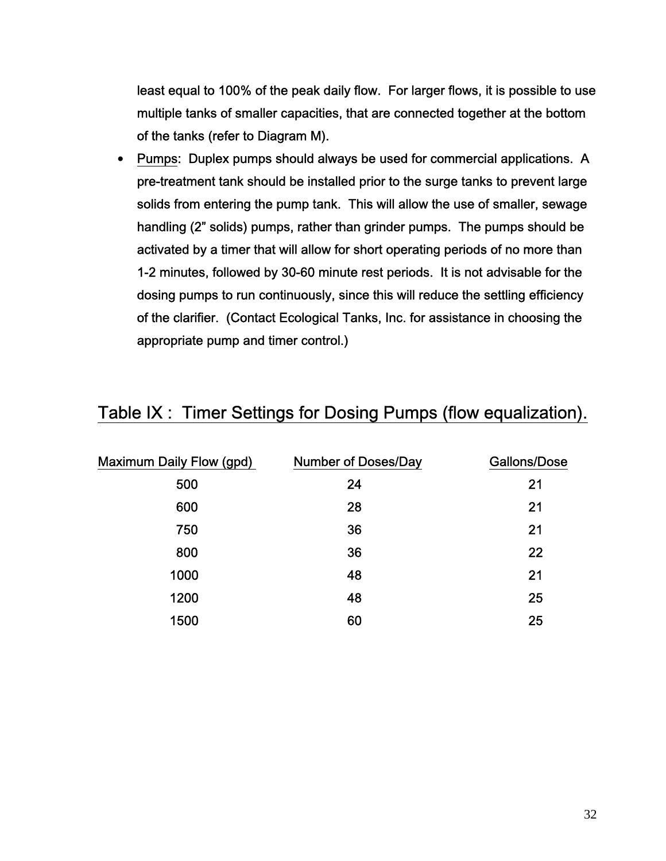least equal to 100% of the peak daily flow. For larger flows, it is possible to use multiple tanks of smaller capacities, that are connected together at the bottom of the tanks (refer to Diagram M).

• Pumps: Duplex pumps should always be used for commercial applications. A pre-treatment tank should be installed prior to the surge tanks to prevent large solids from entering the pump tank. This will allow the use of smaller, sewage handling (2" solids) pumps, rather than grinder pumps. The pumps should be activated by a timer that will allow for short operating periods of no more than 1-2 minutes, followed by 30-60 minute rest periods. It is not advisable for the dosing pumps to run continuously, since this will reduce the settling efficiency of the clarifier. (Contact Ecological Tanks, Inc. for assistance in choosing the appropriate pump and timer control.)

| <b>Maximum Daily Flow (gpd)</b> | <b>Number of Doses/Day</b> | Gallons/Dose |
|---------------------------------|----------------------------|--------------|
| 500                             | 24                         | 21           |
| 600                             | 28                         | 21           |
| 750                             | 36                         | 21           |
| 800                             | 36                         | 22           |
| 1000                            | 48                         | 21           |
| 1200                            | 48                         | 25           |
| 1500                            | 60                         | 25           |

### Table IX : Timer Settings for Dosing Pumps (flow equalization).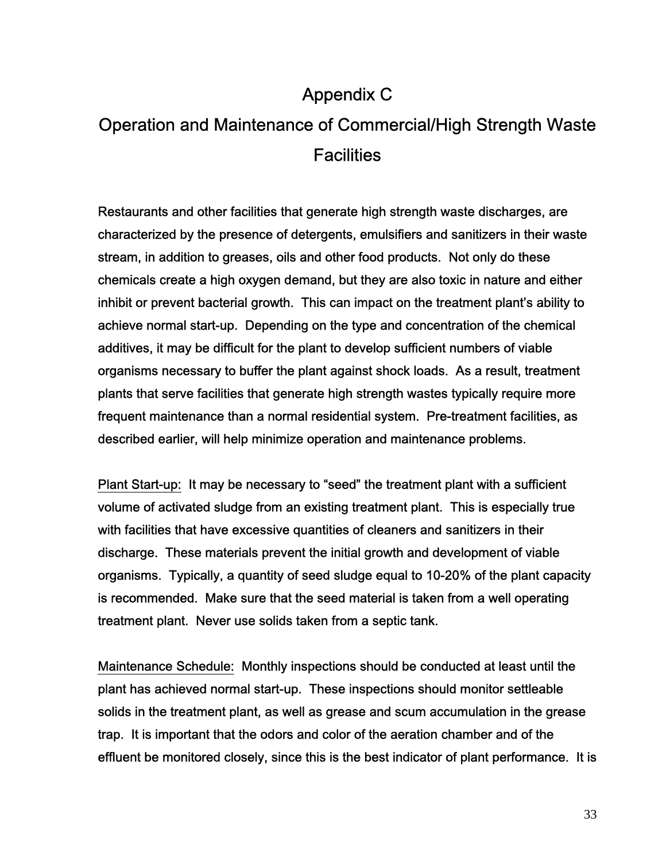## Appendix C

## Operation and Maintenance of Commercial/High Strength Waste **Facilities**

Restaurants and other facilities that generate high strength waste discharges, are characterized by the presence of detergents, emulsifiers and sanitizers in their waste stream, in addition to greases, oils and other food products. Not only do these chemicals create a high oxygen demand, but they are also toxic in nature and either inhibit or prevent bacterial growth. This can impact on the treatment plant's ability to achieve normal start-up. Depending on the type and concentration of the chemical additives, it may be difficult for the plant to develop sufficient numbers of viable organisms necessary to buffer the plant against shock loads. As a result, treatment plants that serve facilities that generate high strength wastes typically require more frequent maintenance than a normal residential system. Pre-treatment facilities, as described earlier, will help minimize operation and maintenance problems.

Plant Start-up: It may be necessary to "seed" the treatment plant with a sufficient volume of activated sludge from an existing treatment plant. This is especially true with facilities that have excessive quantities of cleaners and sanitizers in their discharge. These materials prevent the initial growth and development of viable organisms. Typically, a quantity of seed sludge equal to 10-20% of the plant capacity is recommended. Make sure that the seed material is taken from a well operating treatment plant. Never use solids taken from a septic tank.

Maintenance Schedule: Monthly inspections should be conducted at least until the plant has achieved normal start-up. These inspections should monitor settleable solids in the treatment plant, as well as grease and scum accumulation in the grease trap. It is important that the odors and color of the aeration chamber and of the effluent be monitored closely, since this is the best indicator of plant performance. It is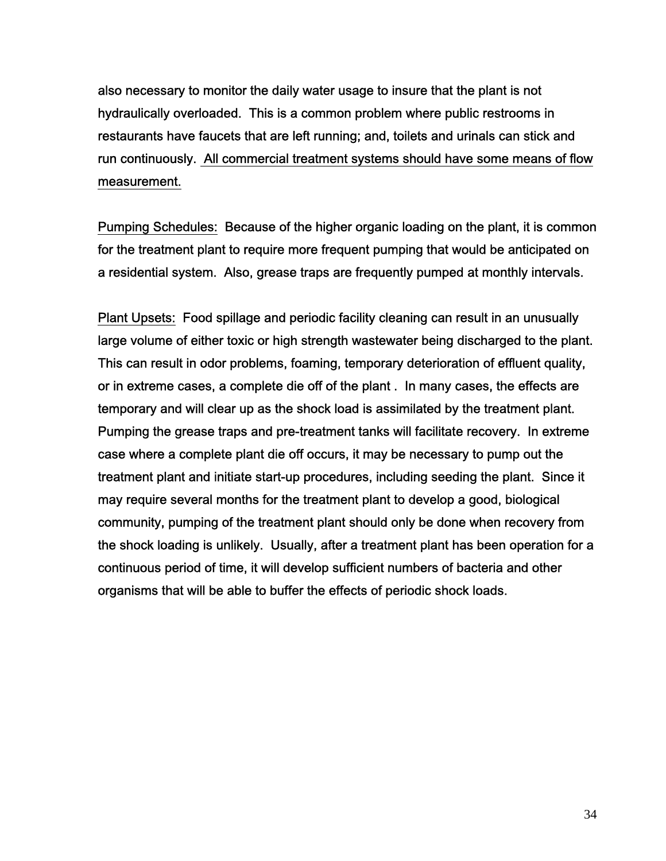also necessary to monitor the daily water usage to insure that the plant is not hydraulically overloaded. This is a common problem where public restrooms in restaurants have faucets that are left running; and, toilets and urinals can stick and run continuously. All commercial treatment systems should have some means of flow measurement.

Pumping Schedules: Because of the higher organic loading on the plant, it is common for the treatment plant to require more frequent pumping that would be anticipated on a residential system. Also, grease traps are frequently pumped at monthly intervals.

Plant Upsets: Food spillage and periodic facility cleaning can result in an unusually large volume of either toxic or high strength wastewater being discharged to the plant. This can result in odor problems, foaming, temporary deterioration of effluent quality, or in extreme cases, a complete die off of the plant . In many cases, the effects are temporary and will clear up as the shock load is assimilated by the treatment plant. Pumping the grease traps and pre-treatment tanks will facilitate recovery. In extreme case where a complete plant die off occurs, it may be necessary to pump out the treatment plant and initiate start-up procedures, including seeding the plant. Since it may require several months for the treatment plant to develop a good, biological community, pumping of the treatment plant should only be done when recovery from the shock loading is unlikely. Usually, after a treatment plant has been operation for a continuous period of time, it will develop sufficient numbers of bacteria and other organisms that will be able to buffer the effects of periodic shock loads.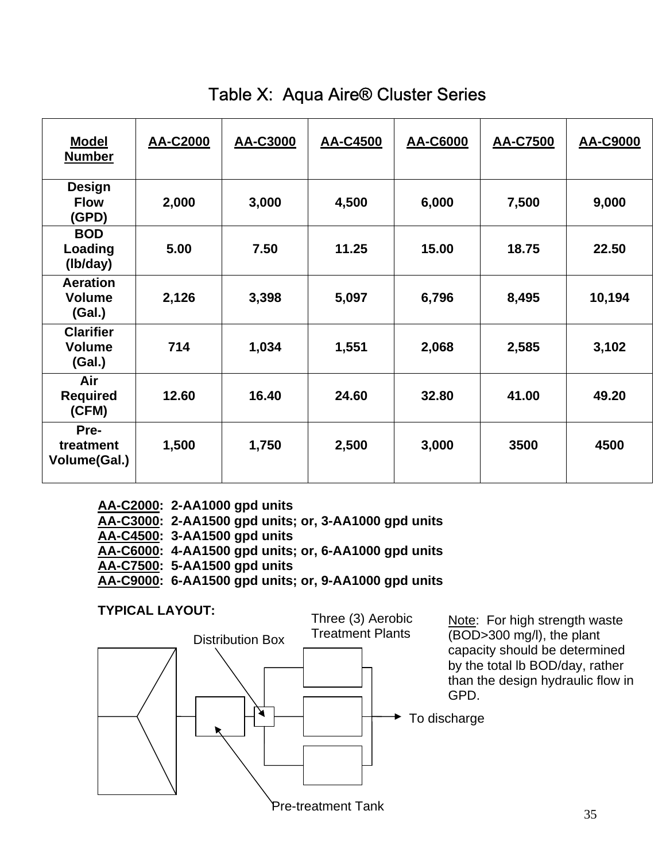| <b>Model</b><br><b>Number</b>               | AA-C2000 | AA-C3000 | AA-C4500 | AA-C6000 | <b>AA-C7500</b> | AA-C9000 |
|---------------------------------------------|----------|----------|----------|----------|-----------------|----------|
| <b>Design</b><br><b>Flow</b><br>(GPD)       | 2,000    | 3,000    | 4,500    | 6,000    | 7,500           | 9,000    |
| <b>BOD</b><br>Loading<br>(Ib/day)           | 5.00     | 7.50     | 11.25    | 15.00    | 18.75           | 22.50    |
| <b>Aeration</b><br><b>Volume</b><br>(Gal.)  | 2,126    | 3,398    | 5,097    | 6,796    | 8,495           | 10,194   |
| <b>Clarifier</b><br><b>Volume</b><br>(Gal.) | 714      | 1,034    | 1,551    | 2,068    | 2,585           | 3,102    |
| Air<br><b>Required</b><br>(CFM)             | 12.60    | 16.40    | 24.60    | 32.80    | 41.00           | 49.20    |
| Pre-<br>treatment<br>Volume(Gal.)           | 1,500    | 1,750    | 2,500    | 3,000    | 3500            | 4500     |

## Table X: Aqua Aire® Cluster Series

| AA-C2000: 2-AA1000 gpd units                         |
|------------------------------------------------------|
| AA-C3000: 2-AA1500 gpd units; or, 3-AA1000 gpd units |
| AA-C4500: 3-AA1500 gpd units                         |
| AA-C6000: 4-AA1500 gpd units; or, 6-AA1000 gpd units |
| AA-C7500: 5-AA1500 gpd units                         |
| AA-C9000: 6-AA1500 gpd units; or, 9-AA1000 gpd units |

### **TYPICAL LAYOUT:**